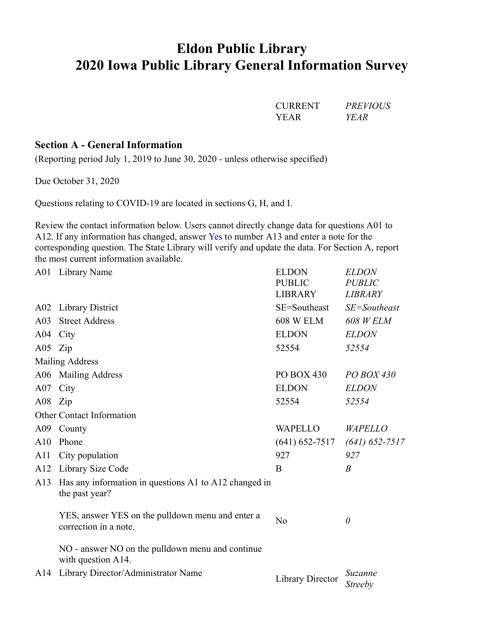# Eldon Public Library 2020 Iowa Public Library General Information Survey

## Section A - General Information

|                    |                                                                                                                                                                                                                                                                                                                                       | <b>CURRENT</b><br><b>YEAR</b>                   | <b>PREVIOUS</b><br><b>YEAR</b>                  |
|--------------------|---------------------------------------------------------------------------------------------------------------------------------------------------------------------------------------------------------------------------------------------------------------------------------------------------------------------------------------|-------------------------------------------------|-------------------------------------------------|
|                    | <b>Section A - General Information</b><br>(Reporting period July 1, 2019 to June 30, 2020 - unless otherwise specified)                                                                                                                                                                                                               |                                                 |                                                 |
|                    | Due October 31, 2020                                                                                                                                                                                                                                                                                                                  |                                                 |                                                 |
|                    | Questions relating to COVID-19 are located in sections G, H, and I.                                                                                                                                                                                                                                                                   |                                                 |                                                 |
|                    | Review the contact information below. Users cannot directly change data for questions A01 to<br>A12. If any information has changed, answer Yes to number A13 and enter a note for the<br>corresponding question. The State Library will verify and update the data. For Section A, report<br>the most current information available. |                                                 |                                                 |
|                    | A01 Library Name                                                                                                                                                                                                                                                                                                                      | <b>ELDON</b><br><b>PUBLIC</b><br><b>LIBRARY</b> | <b>ELDON</b><br><b>PUBLIC</b><br><b>LIBRARY</b> |
|                    | A02 Library District                                                                                                                                                                                                                                                                                                                  | SE=Southeast                                    | $SE =$ Southeast                                |
| A03                | <b>Street Address</b>                                                                                                                                                                                                                                                                                                                 | 608 W ELM                                       | <b>608 W ELM</b>                                |
|                    | A04 City                                                                                                                                                                                                                                                                                                                              | <b>ELDON</b>                                    | <b>ELDON</b>                                    |
| A05 $\mathsf{Zip}$ |                                                                                                                                                                                                                                                                                                                                       | 52554                                           | 52554                                           |
|                    | <b>Mailing Address</b>                                                                                                                                                                                                                                                                                                                |                                                 |                                                 |
|                    | A06 Mailing Address                                                                                                                                                                                                                                                                                                                   | PO BOX 430                                      | PO BOX 430                                      |
| A07                | City                                                                                                                                                                                                                                                                                                                                  | <b>ELDON</b>                                    | <b>ELDON</b>                                    |
| A08 Zip            |                                                                                                                                                                                                                                                                                                                                       | 52554                                           | 52554                                           |
|                    | Other Contact Information                                                                                                                                                                                                                                                                                                             |                                                 |                                                 |
|                    | A09 County                                                                                                                                                                                                                                                                                                                            | <b>WAPELLO</b>                                  | WAPELLO                                         |
| A10                | Phone                                                                                                                                                                                                                                                                                                                                 | $(641) 652 - 7517$                              | $(641)$ 652-7517                                |
| A <sub>1</sub>     | City population                                                                                                                                                                                                                                                                                                                       | 927                                             | 927                                             |
| A12                | Library Size Code                                                                                                                                                                                                                                                                                                                     | B                                               | $\boldsymbol{B}$                                |
| A13                | Has any information in questions A1 to A12 changed in<br>the past year?                                                                                                                                                                                                                                                               |                                                 |                                                 |
|                    | YES, answer YES on the pulldown menu and enter a<br>correction in a note.                                                                                                                                                                                                                                                             | N <sub>o</sub>                                  | $\theta$                                        |
|                    | NO - answer NO on the pulldown menu and continue<br>with question A14.                                                                                                                                                                                                                                                                |                                                 |                                                 |
|                    | A14 Library Director/Administrator Name                                                                                                                                                                                                                                                                                               | <b>Library Director</b>                         | Suzanne<br><b>Streeby</b>                       |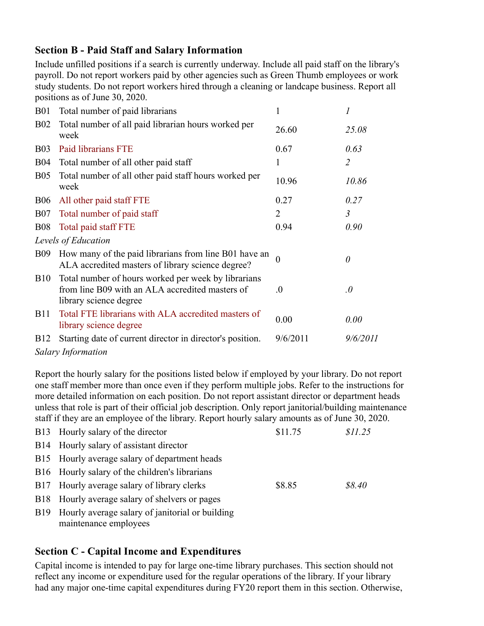## Section B - Paid Staff and Salary Information

|                 | <b>Section B - Paid Staff and Salary Information</b>                                                                                                                                                                                                                                                                                                                                                                                                                                                                      |              |                |
|-----------------|---------------------------------------------------------------------------------------------------------------------------------------------------------------------------------------------------------------------------------------------------------------------------------------------------------------------------------------------------------------------------------------------------------------------------------------------------------------------------------------------------------------------------|--------------|----------------|
|                 | Include unfilled positions if a search is currently underway. Include all paid staff on the library's<br>payroll. Do not report workers paid by other agencies such as Green Thumb employees or work<br>study students. Do not report workers hired through a cleaning or landcape business. Report all<br>positions as of June 30, 2020.                                                                                                                                                                                 |              |                |
| <b>B01</b>      | Total number of paid librarians                                                                                                                                                                                                                                                                                                                                                                                                                                                                                           | $\mathbf{1}$ | 1              |
| <b>B02</b>      | Total number of all paid librarian hours worked per<br>week                                                                                                                                                                                                                                                                                                                                                                                                                                                               | 26.60        | 25.08          |
| <b>B03</b>      | Paid librarians FTE                                                                                                                                                                                                                                                                                                                                                                                                                                                                                                       | 0.67         | 0.63           |
| <b>B04</b>      | Total number of all other paid staff                                                                                                                                                                                                                                                                                                                                                                                                                                                                                      | $\mathbf{1}$ | $\overline{2}$ |
| <b>B05</b>      | Total number of all other paid staff hours worked per<br>week                                                                                                                                                                                                                                                                                                                                                                                                                                                             | 10.96        | 10.86          |
| <b>B06</b>      | All other paid staff FTE                                                                                                                                                                                                                                                                                                                                                                                                                                                                                                  | 0.27         | 0.27           |
| <b>B07</b>      | Total number of paid staff                                                                                                                                                                                                                                                                                                                                                                                                                                                                                                | 2            | $\mathfrak{Z}$ |
| <b>B08</b>      | Total paid staff FTE                                                                                                                                                                                                                                                                                                                                                                                                                                                                                                      | 0.94         | 0.90           |
|                 | Levels of Education                                                                                                                                                                                                                                                                                                                                                                                                                                                                                                       |              |                |
|                 | B09 How many of the paid librarians from line B01 have an<br>ALA accredited masters of library science degree?                                                                                                                                                                                                                                                                                                                                                                                                            |              | 0              |
| <b>B10</b>      | Total number of hours worked per week by librarians<br>from line B09 with an ALA accredited masters of<br>library science degree                                                                                                                                                                                                                                                                                                                                                                                          | 0.           | $\theta$       |
| <b>B11</b>      | Total FTE librarians with ALA accredited masters of<br>library science degree                                                                                                                                                                                                                                                                                                                                                                                                                                             | 0.00         | 0.00           |
| B <sub>12</sub> | Starting date of current director in director's position.<br><b>Salary Information</b>                                                                                                                                                                                                                                                                                                                                                                                                                                    | 9/6/2011     | 9/6/2011       |
|                 | Report the hourly salary for the positions listed below if employed by your library. Do not report<br>one staff member more than once even if they perform multiple jobs. Refer to the instructions for<br>more detailed information on each position. Do not report assistant director or department heads<br>unless that role is part of their official job description. Only report janitorial/building maintenance<br>staff if they are an employee of the library. Report hourly salary amounts as of June 30, 2020. |              |                |
| <b>B</b> 13     | Hourly salary of the director                                                                                                                                                                                                                                                                                                                                                                                                                                                                                             | \$11.75      | \$11.25        |
| B <sub>14</sub> | Hourly salary of assistant director                                                                                                                                                                                                                                                                                                                                                                                                                                                                                       |              |                |
| <b>B</b> 15     | Hourly average salary of department heads                                                                                                                                                                                                                                                                                                                                                                                                                                                                                 |              |                |
| <b>B</b> 16     | Hourly salary of the children's librarians                                                                                                                                                                                                                                                                                                                                                                                                                                                                                |              |                |
| <b>B17</b>      | Hourly average salary of library clerks                                                                                                                                                                                                                                                                                                                                                                                                                                                                                   | \$8.85       | \$8.40         |
| <b>B</b> 18     | Hourly average salary of shelvers or pages                                                                                                                                                                                                                                                                                                                                                                                                                                                                                |              |                |
|                 | D <sub>10</sub> Hourly everage select of ienitorial or building                                                                                                                                                                                                                                                                                                                                                                                                                                                           |              |                |

|             | TETT accredited masters of horary science acquee.                                                                                                                                                                                                                                                                                                                                                                                                                                                                         |          |          |
|-------------|---------------------------------------------------------------------------------------------------------------------------------------------------------------------------------------------------------------------------------------------------------------------------------------------------------------------------------------------------------------------------------------------------------------------------------------------------------------------------------------------------------------------------|----------|----------|
|             | B10 Total number of hours worked per week by librarians<br>from line B09 with an ALA accredited masters of<br>library science degree                                                                                                                                                                                                                                                                                                                                                                                      | 0.       | $\theta$ |
| <b>B11</b>  | Total FTE librarians with ALA accredited masters of<br>library science degree                                                                                                                                                                                                                                                                                                                                                                                                                                             | 0.00     | 0.00     |
| <b>B</b> 12 | Starting date of current director in director's position.                                                                                                                                                                                                                                                                                                                                                                                                                                                                 | 9/6/2011 | 9/6/2011 |
|             | <b>Salary Information</b>                                                                                                                                                                                                                                                                                                                                                                                                                                                                                                 |          |          |
|             | Report the hourly salary for the positions listed below if employed by your library. Do not report<br>one staff member more than once even if they perform multiple jobs. Refer to the instructions for<br>more detailed information on each position. Do not report assistant director or department heads<br>unless that role is part of their official job description. Only report janitorial/building maintenance<br>staff if they are an employee of the library. Report hourly salary amounts as of June 30, 2020. |          |          |
|             | B13 Hourly salary of the director                                                                                                                                                                                                                                                                                                                                                                                                                                                                                         | \$11.75  | \$11.25  |
|             | B14 Hourly salary of assistant director                                                                                                                                                                                                                                                                                                                                                                                                                                                                                   |          |          |
| <b>B</b> 15 | Hourly average salary of department heads                                                                                                                                                                                                                                                                                                                                                                                                                                                                                 |          |          |
| <b>B</b> 16 | Hourly salary of the children's librarians                                                                                                                                                                                                                                                                                                                                                                                                                                                                                |          |          |
| <b>B</b> 17 | Hourly average salary of library clerks                                                                                                                                                                                                                                                                                                                                                                                                                                                                                   | \$8.85   | \$8.40   |
|             | B18 Hourly average salary of shelvers or pages                                                                                                                                                                                                                                                                                                                                                                                                                                                                            |          |          |
| B19         | Hourly average salary of janitorial or building<br>maintenance employees                                                                                                                                                                                                                                                                                                                                                                                                                                                  |          |          |
|             |                                                                                                                                                                                                                                                                                                                                                                                                                                                                                                                           |          |          |
|             | <b>Section C - Capital Income and Expenditures</b>                                                                                                                                                                                                                                                                                                                                                                                                                                                                        |          |          |
|             | Conital income is intended to noy for large one time library purchases. This section should not                                                                                                                                                                                                                                                                                                                                                                                                                           |          |          |

# Section C - Capital Income and Expenditures

Capital income is intended to pay for large one-time library purchases. This section should not reflect any income or expenditure used for the regular operations of the library. If your library had any major one-time capital expenditures during FY20 report them in this section. Otherwise,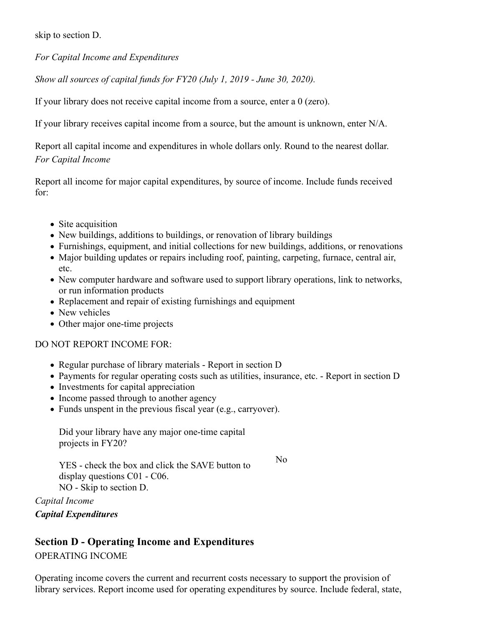skip to section D.

For Capital Income and Expenditures

Show all sources of capital funds for FY20 (July 1, 2019 - June 30, 2020).

If your library does not receive capital income from a source, enter a 0 (zero).

If your library receives capital income from a source, but the amount is unknown, enter N/A.

Report all capital income and expenditures in whole dollars only. Round to the nearest dollar. For Capital Income

Report all income for major capital expenditures, by source of income. Include funds received for:

- Site acquisition
- New buildings, additions to buildings, or renovation of library buildings
- Furnishings, equipment, and initial collections for new buildings, additions, or renovations
- Major building updates or repairs including roof, painting, carpeting, furnace, central air, etc.
- New computer hardware and software used to support library operations, link to networks, or run information products
- Replacement and repair of existing furnishings and equipment
- New vehicles
- Other major one-time projects

## DO NOT REPORT INCOME FOR:

- Regular purchase of library materials Report in section D
- Payments for regular operating costs such as utilities, insurance, etc. Report in section D

No contract the contract of the contract of the contract of the contract of the contract of the contract of the contract of the contract of the contract of the contract of the contract of the contract of the contract of th

- Investments for capital appreciation
- Income passed through to another agency
- Funds unspent in the previous fiscal year (e.g., carryover).

Did your library have any major one-time capital projects in FY20?

YES - check the box and click the SAVE button to display questions C01 - C06. NO - Skip to section D.

Capital Income

Capital Expenditures

# Section D - Operating Income and Expenditures

## OPERATING INCOME

Operating income covers the current and recurrent costs necessary to support the provision of library services. Report income used for operating expenditures by source. Include federal, state,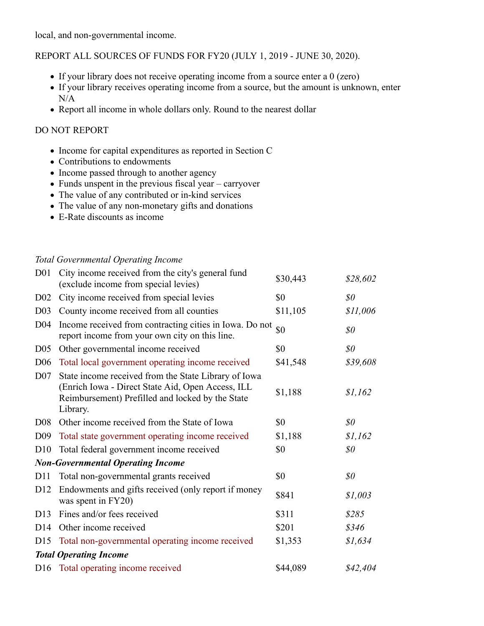local, and non-governmental income.

## REPORT ALL SOURCES OF FUNDS FOR FY20 (JULY 1, 2019 - JUNE 30, 2020).

- If your library does not receive operating income from a source enter a 0 (zero)
- If your library receives operating income from a source, but the amount is unknown, enter N/A
- Report all income in whole dollars only. Round to the nearest dollar

#### DO NOT REPORT

- Income for capital expenditures as reported in Section C
- Contributions to endowments
- Income passed through to another agency
- Funds unspent in the previous fiscal year carryover
- The value of any contributed or in-kind services
- The value of any non-monetary gifts and donations
- E-Rate discounts as income

#### Total Governmental Operating Income

|                 | • If your library does not receive operating income from a source enter a $0$ (zero)<br>• If your library receives operating income from a source, but the amount is unknown, enter<br>N/A<br>• Report all income in whole dollars only. Round to the nearest dollar                                                                             |          |                              |  |
|-----------------|--------------------------------------------------------------------------------------------------------------------------------------------------------------------------------------------------------------------------------------------------------------------------------------------------------------------------------------------------|----------|------------------------------|--|
|                 | DO NOT REPORT                                                                                                                                                                                                                                                                                                                                    |          |                              |  |
|                 | • Income for capital expenditures as reported in Section C<br>• Contributions to endowments<br>• Income passed through to another agency<br>• Funds unspent in the previous fiscal year – carryover<br>• The value of any contributed or in-kind services<br>• The value of any non-monetary gifts and donations<br>• E-Rate discounts as income |          |                              |  |
|                 | <b>Total Governmental Operating Income</b>                                                                                                                                                                                                                                                                                                       |          |                              |  |
| D <sub>01</sub> | City income received from the city's general fund<br>(exclude income from special levies)                                                                                                                                                                                                                                                        | \$30,443 | \$28,602                     |  |
| $D_{02}$        | City income received from special levies                                                                                                                                                                                                                                                                                                         | \$0      | \$0\$                        |  |
| D <sub>03</sub> | County income received from all counties                                                                                                                                                                                                                                                                                                         | \$11,105 | \$11,006                     |  |
| D04             | Income received from contracting cities in Iowa. Do not<br>report income from your own city on this line.                                                                                                                                                                                                                                        | \$0      | $\mathcal{S}^{\prime\prime}$ |  |
| D <sub>05</sub> | Other governmental income received                                                                                                                                                                                                                                                                                                               | \$0      | $\mathcal{S}^{\prime\prime}$ |  |
| D <sub>06</sub> | Total local government operating income received                                                                                                                                                                                                                                                                                                 | \$41,548 | \$39,608                     |  |
| D <sub>07</sub> | State income received from the State Library of Iowa<br>(Enrich Iowa - Direct State Aid, Open Access, ILL<br>Reimbursement) Prefilled and locked by the State<br>Library.                                                                                                                                                                        | \$1,188  | \$1,162                      |  |
|                 | D08 Other income received from the State of Iowa                                                                                                                                                                                                                                                                                                 | \$0      | $\$0$                        |  |
| D <sub>09</sub> | Total state government operating income received                                                                                                                                                                                                                                                                                                 | \$1,188  | \$1,162                      |  |
| D10             | Total federal government income received                                                                                                                                                                                                                                                                                                         | \$0      | $\mathcal{S}^{\mathcal{O}}$  |  |
|                 | <b>Non-Governmental Operating Income</b>                                                                                                                                                                                                                                                                                                         |          |                              |  |
| D <sub>11</sub> | Total non-governmental grants received                                                                                                                                                                                                                                                                                                           | \$0      | $\$0$                        |  |
| D <sub>12</sub> | Endowments and gifts received (only report if money<br>was spent in FY20)                                                                                                                                                                                                                                                                        | \$841    | \$1,003                      |  |
| D <sub>13</sub> | Fines and/or fees received                                                                                                                                                                                                                                                                                                                       | \$311    | \$285                        |  |
| D <sub>14</sub> | Other income received                                                                                                                                                                                                                                                                                                                            | \$201    | \$346                        |  |
| D15             | Total non-governmental operating income received                                                                                                                                                                                                                                                                                                 | \$1,353  | \$1,634                      |  |
|                 | <b>Total Operating Income</b>                                                                                                                                                                                                                                                                                                                    |          |                              |  |
|                 | D16 Total operating income received                                                                                                                                                                                                                                                                                                              | \$44,089 | \$42,404                     |  |
|                 |                                                                                                                                                                                                                                                                                                                                                  |          |                              |  |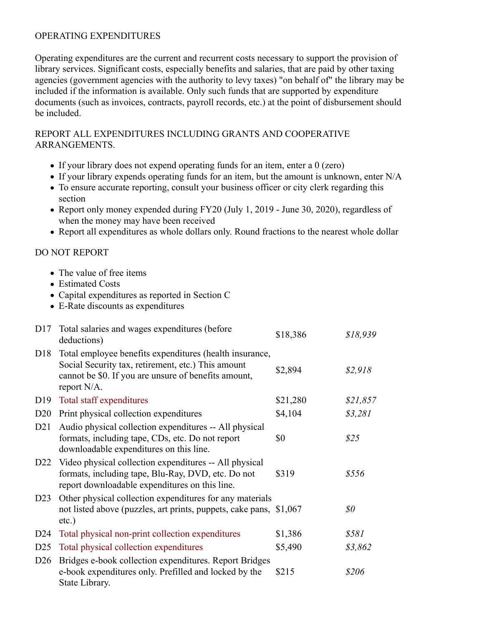## OPERATING EXPENDITURES

Operating expenditures are the current and recurrent costs necessary to support the provision of library services. Significant costs, especially benefits and salaries, that are paid by other taxing agencies (government agencies with the authority to levy taxes) "on behalf of" the library may be included if the information is available. Only such funds that are supported by expenditure documents (such as invoices, contracts, payroll records, etc.) at the point of disbursement should be included.

- If your library does not expend operating funds for an item, enter a 0 (zero)
- If your library expends operating funds for an item, but the amount is unknown, enter N/A
- To ensure accurate reporting, consult your business officer or city clerk regarding this section
- Report only money expended during FY20 (July 1, 2019 June 30, 2020), regardless of when the money may have been received
- Report all expenditures as whole dollars only. Round fractions to the nearest whole dollar

## DO NOT REPORT

- The value of free items
- Estimated Costs
- Capital expenditures as reported in Section C
- E-Rate discounts as expenditures

|                 | REPORT ALL EXPENDITURES INCLUDING GRANTS AND COOPERATIVE<br>ARRANGEMENTS.                                                                                                                                                                                                                                                                                                                                                                                                                                                    |          |                             |
|-----------------|------------------------------------------------------------------------------------------------------------------------------------------------------------------------------------------------------------------------------------------------------------------------------------------------------------------------------------------------------------------------------------------------------------------------------------------------------------------------------------------------------------------------------|----------|-----------------------------|
|                 | • If your library does not expend operating funds for an item, enter a $0$ (zero)<br>• If your library expends operating funds for an item, but the amount is unknown, enter N/A<br>• To ensure accurate reporting, consult your business officer or city clerk regarding this<br>section<br>• Report only money expended during FY20 (July 1, 2019 - June 30, 2020), regardless of<br>when the money may have been received<br>• Report all expenditures as whole dollars only. Round fractions to the nearest whole dollar |          |                             |
|                 | <b>DO NOT REPORT</b>                                                                                                                                                                                                                                                                                                                                                                                                                                                                                                         |          |                             |
|                 | • The value of free items<br>• Estimated Costs<br>• Capital expenditures as reported in Section C<br>• E-Rate discounts as expenditures                                                                                                                                                                                                                                                                                                                                                                                      |          |                             |
|                 | D17 Total salaries and wages expenditures (before<br>deductions)                                                                                                                                                                                                                                                                                                                                                                                                                                                             | \$18,386 | \$18,939                    |
| D18             | Total employee benefits expenditures (health insurance,<br>Social Security tax, retirement, etc.) This amount<br>cannot be \$0. If you are unsure of benefits amount,<br>report N/A.                                                                                                                                                                                                                                                                                                                                         | \$2,894  | \$2,918                     |
| D <sub>19</sub> | Total staff expenditures                                                                                                                                                                                                                                                                                                                                                                                                                                                                                                     | \$21,280 | \$21,857                    |
| D20             | Print physical collection expenditures                                                                                                                                                                                                                                                                                                                                                                                                                                                                                       | \$4,104  | \$3,281                     |
| D21             | Audio physical collection expenditures -- All physical<br>formats, including tape, CDs, etc. Do not report<br>downloadable expenditures on this line.                                                                                                                                                                                                                                                                                                                                                                        | \$0      | \$25                        |
| D <sub>22</sub> | Video physical collection expenditures -- All physical<br>formats, including tape, Blu-Ray, DVD, etc. Do not<br>report downloadable expenditures on this line.                                                                                                                                                                                                                                                                                                                                                               | \$319    | \$556                       |
| D23             | Other physical collection expenditures for any materials<br>not listed above (puzzles, art prints, puppets, cake pans, \$1,067<br>$etc.$ )                                                                                                                                                                                                                                                                                                                                                                                   |          | $\mathcal{S}^{\mathcal{O}}$ |
| D <sub>24</sub> | Total physical non-print collection expenditures                                                                                                                                                                                                                                                                                                                                                                                                                                                                             | \$1,386  | \$581                       |
| D <sub>25</sub> | Total physical collection expenditures                                                                                                                                                                                                                                                                                                                                                                                                                                                                                       | \$5,490  | \$3,862                     |
| D <sub>26</sub> | Bridges e-book collection expenditures. Report Bridges<br>e-book expenditures only. Prefilled and locked by the<br>State Library.                                                                                                                                                                                                                                                                                                                                                                                            | \$215    | \$206                       |
|                 |                                                                                                                                                                                                                                                                                                                                                                                                                                                                                                                              |          |                             |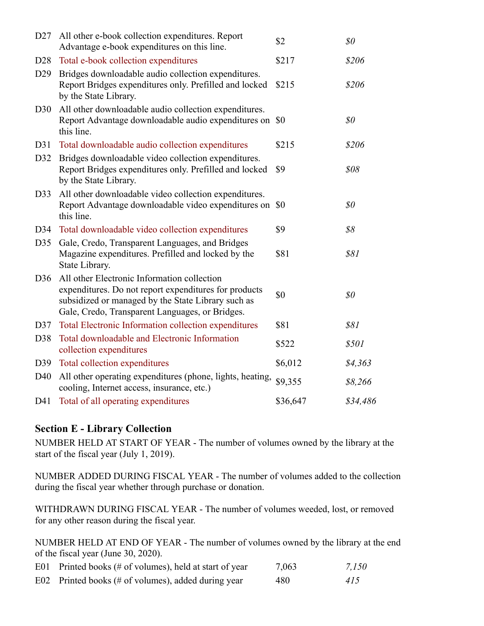| D27                    | All other e-book collection expenditures. Report<br>Advantage e-book expenditures on this line.                                                                                                               | \$2      | $\$0$                        |
|------------------------|---------------------------------------------------------------------------------------------------------------------------------------------------------------------------------------------------------------|----------|------------------------------|
| D <sub>28</sub>        | Total e-book collection expenditures                                                                                                                                                                          | \$217    | \$206                        |
| D29                    | Bridges downloadable audio collection expenditures.<br>Report Bridges expenditures only. Prefilled and locked<br>by the State Library.                                                                        | \$215    | \$206                        |
| D30                    | All other downloadable audio collection expenditures.<br>Report Advantage downloadable audio expenditures on \$0<br>this line.                                                                                |          | $\mathcal{S}^{\prime\prime}$ |
| D31                    | Total downloadable audio collection expenditures                                                                                                                                                              | \$215    | \$206                        |
| D32                    | Bridges downloadable video collection expenditures.<br>Report Bridges expenditures only. Prefilled and locked<br>by the State Library.                                                                        | \$9      | \$08                         |
|                        | D33 All other downloadable video collection expenditures.<br>Report Advantage downloadable video expenditures on \$0<br>this line.                                                                            |          | \$0\$                        |
|                        | D34 Total downloadable video collection expenditures                                                                                                                                                          | \$9      | \$8                          |
| D35                    | Gale, Credo, Transparent Languages, and Bridges<br>Magazine expenditures. Prefilled and locked by the<br>State Library.                                                                                       | \$81     | \$81                         |
| D36                    | All other Electronic Information collection<br>expenditures. Do not report expenditures for products<br>subsidized or managed by the State Library such as<br>Gale, Credo, Transparent Languages, or Bridges. | \$0      | \$0\$                        |
| D37                    | Total Electronic Information collection expenditures                                                                                                                                                          | \$81     | \$81                         |
| D38                    | Total downloadable and Electronic Information<br>collection expenditures                                                                                                                                      | \$522    | \$501                        |
|                        | D39 Total collection expenditures                                                                                                                                                                             | \$6,012  | \$4,363                      |
| D40                    | All other operating expenditures (phone, lights, heating,                                                                                                                                                     | \$9,355  | \$8,266                      |
| D41                    | cooling, Internet access, insurance, etc.)<br>Total of all operating expenditures                                                                                                                             | \$36,647 | \$34,486                     |
|                        | <b>Section E - Library Collection</b>                                                                                                                                                                         |          |                              |
|                        | NUMBER HELD AT START OF YEAR - The number of volumes owned by the library at the<br>start of the fiscal year (July 1, 2019).                                                                                  |          |                              |
|                        | NUMBER ADDED DURING FISCAL YEAR - The number of volumes added to the collection<br>during the fiscal year whether through purchase or donation.                                                               |          |                              |
|                        | WITHDRAWN DURING FISCAL YEAR - The number of volumes weeded, lost, or removed<br>for any other reason during the fiscal year.                                                                                 |          |                              |
|                        | NUMBER HELD AT END OF YEAR - The number of volumes owned by the library at the end<br>of the fiscal year (June 30, 2020).                                                                                     |          |                              |
|                        | Printed books (# of volumes), held at start of year                                                                                                                                                           | 7,063    | 7,150                        |
| E <sub>01</sub><br>E02 | Printed books (# of volumes), added during year                                                                                                                                                               | 480      | 415                          |

## Section E - Library Collection

| E01 Printed books (# of volumes), held at start of year | 7,063 | 7,150 |
|---------------------------------------------------------|-------|-------|
|                                                         |       |       |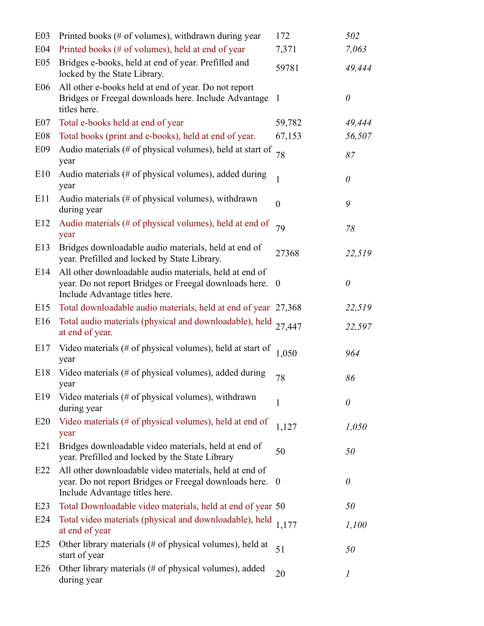| E03                                | Printed books (# of volumes), withdrawn during year                                                                                                  | 172              | 502              |
|------------------------------------|------------------------------------------------------------------------------------------------------------------------------------------------------|------------------|------------------|
| E <sub>04</sub><br>E <sub>05</sub> | Printed books (# of volumes), held at end of year<br>Bridges e-books, held at end of year. Prefilled and                                             | 7,371<br>59781   | 7,063<br>49,444  |
| E06                                | locked by the State Library.<br>All other e-books held at end of year. Do not report                                                                 |                  |                  |
|                                    | Bridges or Freegal downloads here. Include Advantage 1<br>titles here.                                                                               |                  | 0                |
| E07                                | Total e-books held at end of year                                                                                                                    | 59,782           | 49,444           |
| E <sub>08</sub>                    | Total books (print and e-books), held at end of year.                                                                                                | 67,153           | 56,507           |
| E09                                | Audio materials (# of physical volumes), held at start of<br>year                                                                                    | 78               | 87               |
| E10                                | Audio materials (# of physical volumes), added during<br>year                                                                                        |                  | 0                |
| E11                                | Audio materials $(\# \text{ of physical volumes})$ , withdrawn<br>during year                                                                        | $\boldsymbol{0}$ | 9                |
| E12                                | Audio materials (# of physical volumes), held at end of<br>year                                                                                      | 79               | 78               |
| E13                                | Bridges downloadable audio materials, held at end of<br>year. Prefilled and locked by State Library.                                                 | 27368            | 22,519           |
| E14                                | All other downloadable audio materials, held at end of<br>year. Do not report Bridges or Freegal downloads here. 0<br>Include Advantage titles here. |                  | $\theta$         |
| E15                                | Total downloadable audio materials, held at end of year 27,368                                                                                       |                  | 22,519           |
| E16                                | Total audio materials (physical and downloadable), held<br>at end of year.                                                                           | 27,447           | 22,597           |
| E17                                | Video materials (# of physical volumes), held at start of<br>year                                                                                    | 1,050            | 964              |
| E18                                | Video materials (# of physical volumes), added during<br>year                                                                                        | 78               | 86               |
| E19                                | Video materials (# of physical volumes), withdrawn<br>during year                                                                                    | $\mathbf 1$      | 0                |
| E20                                | Video materials (# of physical volumes), held at end of<br>year                                                                                      | 1,127            | 1,050            |
| E21                                | Bridges downloadable video materials, held at end of<br>year. Prefilled and locked by the State Library                                              | 50               | 50               |
| E22                                | All other downloadable video materials, held at end of<br>year. Do not report Bridges or Freegal downloads here. 0<br>Include Advantage titles here. |                  | $\theta$         |
| E23                                | Total Downloadable video materials, held at end of year 50                                                                                           |                  | 50               |
| E24                                | Total video materials (physical and downloadable), held<br>at end of year                                                                            | 1,177            | 1,100            |
| E25                                | Other library materials (# of physical volumes), held at<br>start of year                                                                            | 51               | 50               |
| E26                                | Other library materials (# of physical volumes), added<br>during year                                                                                | 20               | $\boldsymbol{l}$ |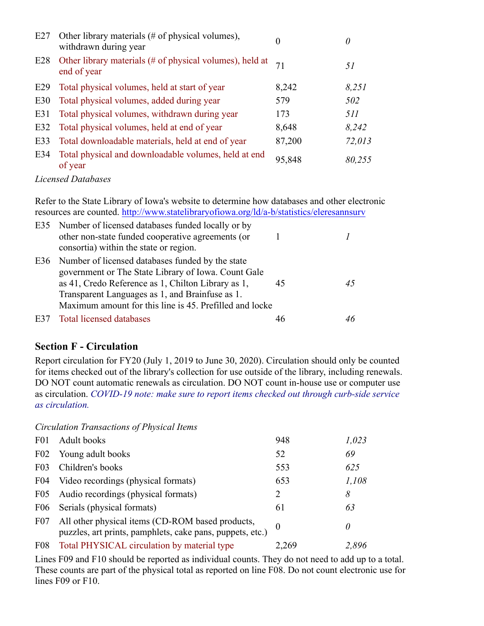| E27 | Other library materials (# of physical volumes),<br>withdrawn during year                                                                                                                | $\overline{0}$ | $\theta$       |
|-----|------------------------------------------------------------------------------------------------------------------------------------------------------------------------------------------|----------------|----------------|
| E28 | Other library materials (# of physical volumes), held at<br>end of year                                                                                                                  | 71             | 51             |
| E29 | Total physical volumes, held at start of year                                                                                                                                            | 8,242          | 8,251          |
| E30 | Total physical volumes, added during year                                                                                                                                                | 579            | 502            |
| E31 | Total physical volumes, withdrawn during year                                                                                                                                            | 173            | 511            |
| E32 | Total physical volumes, held at end of year                                                                                                                                              | 8,648          | 8,242          |
| E33 | Total downloadable materials, held at end of year                                                                                                                                        | 87,200         | 72,013         |
| E34 | Total physical and downloadable volumes, held at end<br>of year                                                                                                                          | 95,848         | 80,255         |
|     | <b>Licensed Databases</b>                                                                                                                                                                |                |                |
|     | Refer to the State Library of Iowa's website to determine how databases and other electronic<br>resources are counted. http://www.statelibraryofiowa.org/ld/a-b/statistics/eleresannsurv |                |                |
| E35 | Number of licensed databases funded locally or by                                                                                                                                        |                |                |
|     | other non-state funded cooperative agreements (or<br>consortia) within the state or region.                                                                                              | 1              | $\overline{I}$ |
| E36 | Number of licensed databases funded by the state                                                                                                                                         |                |                |
|     | government or The State Library of Iowa. Count Gale                                                                                                                                      |                |                |
|     | as 41, Credo Reference as 1, Chilton Library as 1,                                                                                                                                       | 45             | 45             |
|     | Transparent Languages as 1, and Brainfuse as 1.<br>Maximum amount for this line is 45. Prefilled and locke                                                                               |                |                |
|     |                                                                                                                                                                                          |                |                |

## Licensed Databases

| E35             | Number of licensed databases funded locally or by<br>other non-state funded cooperative agreements (or<br>consortia) within the state or region.                                                                                                                                                                                                                                                                                                             |           |              |
|-----------------|--------------------------------------------------------------------------------------------------------------------------------------------------------------------------------------------------------------------------------------------------------------------------------------------------------------------------------------------------------------------------------------------------------------------------------------------------------------|-----------|--------------|
| E36             | Number of licensed databases funded by the state<br>government or The State Library of Iowa. Count Gale<br>as 41, Credo Reference as 1, Chilton Library as 1,<br>Transparent Languages as 1, and Brainfuse as 1.<br>Maximum amount for this line is 45. Prefilled and locke                                                                                                                                                                                  | 45        | 45           |
| E37             | <b>Total licensed databases</b>                                                                                                                                                                                                                                                                                                                                                                                                                              | 46        | 46           |
|                 | <b>Section F - Circulation</b><br>Report circulation for FY20 (July 1, 2019 to June 30, 2020). Circulation should only be counted<br>for items checked out of the library's collection for use outside of the library, including renewals.<br>DO NOT count automatic renewals as circulation. DO NOT count in-house use or computer use<br>as circulation. COVID-19 note: make sure to report items checked out through curb-side service<br>as circulation. |           |              |
|                 | Circulation Transactions of Physical Items                                                                                                                                                                                                                                                                                                                                                                                                                   |           |              |
| F <sub>01</sub> | Adult books                                                                                                                                                                                                                                                                                                                                                                                                                                                  | 948       | 1,023        |
| F <sub>02</sub> | Young adult books                                                                                                                                                                                                                                                                                                                                                                                                                                            | 52        | 69           |
| F03             | Children's books                                                                                                                                                                                                                                                                                                                                                                                                                                             | 553       | 625          |
| F04             | Video recordings (physical formats)                                                                                                                                                                                                                                                                                                                                                                                                                          | 653       | 1,108        |
|                 | $E_0$                                                                                                                                                                                                                                                                                                                                                                                                                                                        | $\bigcap$ | $\mathbf{O}$ |

# Section F - Circulation

|                  | $\frac{1}{2}$                                                                                                                                                                                                                                                                                                                                                                                                              |                  |          |
|------------------|----------------------------------------------------------------------------------------------------------------------------------------------------------------------------------------------------------------------------------------------------------------------------------------------------------------------------------------------------------------------------------------------------------------------------|------------------|----------|
| E36              | Number of licensed databases funded by the state<br>government or The State Library of Iowa. Count Gale<br>as 41, Credo Reference as 1, Chilton Library as 1,<br>Transparent Languages as 1, and Brainfuse as 1.<br>Maximum amount for this line is 45. Prefilled and locke                                                                                                                                                | 45               | 45       |
| E37              | <b>Total licensed databases</b>                                                                                                                                                                                                                                                                                                                                                                                            | 46               | 46       |
|                  | <b>Section F - Circulation</b>                                                                                                                                                                                                                                                                                                                                                                                             |                  |          |
|                  | Report circulation for FY20 (July 1, 2019 to June 30, 2020). Circulation should only be counted<br>for items checked out of the library's collection for use outside of the library, including renewals.<br>DO NOT count automatic renewals as circulation. DO NOT count in-house use or computer use<br>as circulation. COVID-19 note: make sure to report items checked out through curb-side service<br>as circulation. |                  |          |
|                  | Circulation Transactions of Physical Items                                                                                                                                                                                                                                                                                                                                                                                 |                  |          |
| F <sub>0</sub> 1 | Adult books                                                                                                                                                                                                                                                                                                                                                                                                                | 948              | 1,023    |
| F02              | Young adult books                                                                                                                                                                                                                                                                                                                                                                                                          | 52               | 69       |
| F <sub>03</sub>  | Children's books                                                                                                                                                                                                                                                                                                                                                                                                           | 553              | 625      |
| F <sub>04</sub>  | Video recordings (physical formats)                                                                                                                                                                                                                                                                                                                                                                                        | 653              | 1,108    |
| F05              | Audio recordings (physical formats)                                                                                                                                                                                                                                                                                                                                                                                        | $\overline{2}$   | 8        |
| F06              | Serials (physical formats)                                                                                                                                                                                                                                                                                                                                                                                                 | 61               | 63       |
| F07              | All other physical items (CD-ROM based products,<br>puzzles, art prints, pamphlets, cake pans, puppets, etc.)                                                                                                                                                                                                                                                                                                              | $\boldsymbol{0}$ | $\theta$ |
| F08              | Total PHYSICAL circulation by material type                                                                                                                                                                                                                                                                                                                                                                                | 2,269            | 2,896    |
|                  | Lines F09 and F10 should be reported as individual counts. They do not need to add up to a total.<br>These counts are part of the physical total as reported on line F08. Do not count electronic use for                                                                                                                                                                                                                  |                  |          |

Lines F09 and F10 should be reported as individual counts. They do not need to add up to a total. These counts are part of the physical total as reported on line F08. Do not count electronic use for lines F09 or F10.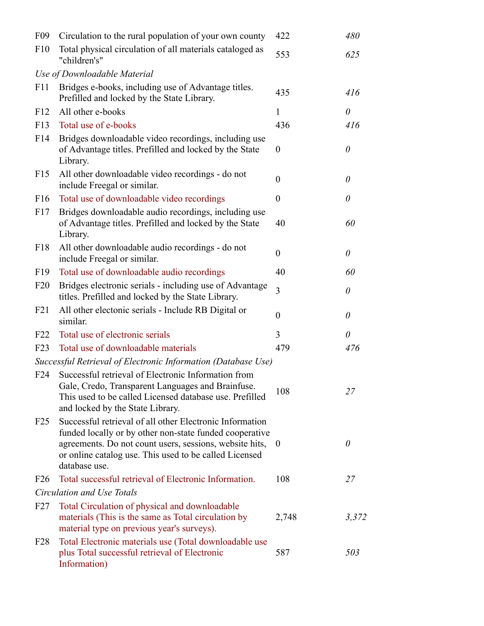| F <sub>09</sub> | Circulation to the rural population of your own county                                                                                                                                                                                                      | 422              | 480      |
|-----------------|-------------------------------------------------------------------------------------------------------------------------------------------------------------------------------------------------------------------------------------------------------------|------------------|----------|
| F10             | Total physical circulation of all materials cataloged as<br>"children's"                                                                                                                                                                                    | 553              | 625      |
|                 | Use of Downloadable Material                                                                                                                                                                                                                                |                  |          |
| F11             | Bridges e-books, including use of Advantage titles.<br>Prefilled and locked by the State Library.                                                                                                                                                           | 435              | 416      |
| F <sub>12</sub> | All other e-books                                                                                                                                                                                                                                           | 1                | 0        |
| F13             | Total use of e-books                                                                                                                                                                                                                                        | 436              | 416      |
| F14             | Bridges downloadable video recordings, including use<br>of Advantage titles. Prefilled and locked by the State<br>Library.                                                                                                                                  | $\theta$         | 0        |
| F15             | All other downloadable video recordings - do not<br>include Freegal or similar.                                                                                                                                                                             | $\boldsymbol{0}$ | 0        |
| F16             | Total use of downloadable video recordings                                                                                                                                                                                                                  | $\boldsymbol{0}$ | 0        |
| F17             | Bridges downloadable audio recordings, including use<br>of Advantage titles. Prefilled and locked by the State<br>Library.                                                                                                                                  | 40               | 60       |
| F18             | All other downloadable audio recordings - do not<br>include Freegal or similar.                                                                                                                                                                             | $\boldsymbol{0}$ | $\theta$ |
| F <sub>19</sub> | Total use of downloadable audio recordings                                                                                                                                                                                                                  | 40               | 60       |
| F20             | Bridges electronic serials - including use of Advantage<br>titles. Prefilled and locked by the State Library.                                                                                                                                               | 3                | $\theta$ |
| F21             | All other electonic serials - Include RB Digital or<br>similar.                                                                                                                                                                                             | $\boldsymbol{0}$ | 0        |
| F <sub>22</sub> | Total use of electronic serials                                                                                                                                                                                                                             | 3                | 0        |
| F23             | Total use of downloadable materials                                                                                                                                                                                                                         | 479              | 476      |
|                 | Successful Retrieval of Electronic Information (Database Use)                                                                                                                                                                                               |                  |          |
| F24             | Successful retrieval of Electronic Information from<br>Gale, Credo, Transparent Languages and Brainfuse.<br>This used to be called Licensed database use. Prefilled<br>and locked by the State Library.                                                     | 108              | 27       |
| F25             | Successful retrieval of all other Electronic Information<br>funded locally or by other non-state funded cooperative<br>agreements. Do not count users, sessions, website hits, 0<br>or online catalog use. This used to be called Licensed<br>database use. |                  | 0        |
| F26             | Total successful retrieval of Electronic Information.                                                                                                                                                                                                       | 108              | 27       |
|                 | Circulation and Use Totals                                                                                                                                                                                                                                  |                  |          |
| F27             | Total Circulation of physical and downloadable<br>materials (This is the same as Total circulation by<br>material type on previous year's surveys).                                                                                                         | 2,748            | 3,372    |
|                 | F28 Total Electronic materials use (Total downloadable use<br>plus Total successful retrieval of Electronic<br>Information)                                                                                                                                 | 587              | 503      |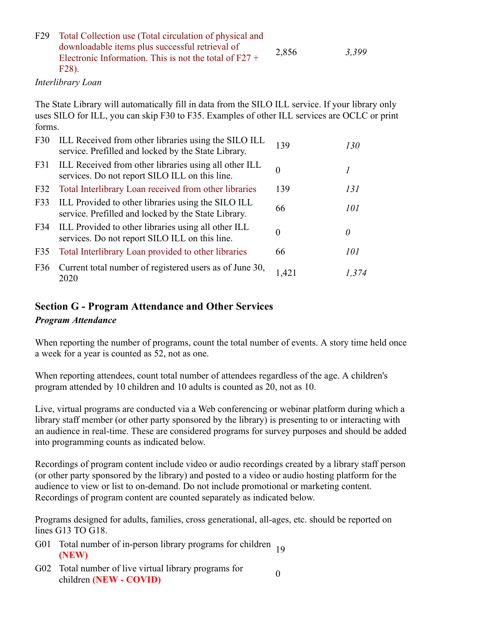| F29 Total Collection use (Total circulation of physical and                                                               |       |       |  |
|---------------------------------------------------------------------------------------------------------------------------|-------|-------|--|
| downloadable items plus successful retrieval of<br>Electronic Information. This is not the total of $F27 + F$<br>$F28$ ). | 2,856 | 3.399 |  |

#### Interlibrary Loan

| Total Collection use (Total circulation of physical and<br>downloadable items plus successful retrieval of<br>Electronic Information. This is not the total of $F27 + F2$<br>F28).                          | 2,856             | 3,399            |  |  |  |
|-------------------------------------------------------------------------------------------------------------------------------------------------------------------------------------------------------------|-------------------|------------------|--|--|--|
|                                                                                                                                                                                                             |                   |                  |  |  |  |
| The State Library will automatically fill in data from the SILO ILL service. If your library only<br>uses SILO for ILL, you can skip F30 to F35. Examples of other ILL services are OCLC or print<br>forms. |                   |                  |  |  |  |
| ILL Received from other libraries using the SILO ILL<br>service. Prefilled and locked by the State Library.                                                                                                 | 139               | 130              |  |  |  |
| ILL Received from other libraries using all other ILL<br>services. Do not report SILO ILL on this line.                                                                                                     | $\boldsymbol{0}$  | $\boldsymbol{l}$ |  |  |  |
| Total Interlibrary Loan received from other libraries                                                                                                                                                       | 139               | 131              |  |  |  |
| ILL Provided to other libraries using the SILO ILL<br>service. Prefilled and locked by the State Library.                                                                                                   | 66                | 101              |  |  |  |
| ILL Provided to other libraries using all other ILL<br>services. Do not report SILO ILL on this line.                                                                                                       | $\boldsymbol{0}$  | $\theta$         |  |  |  |
| Total Interlibrary Loan provided to other libraries                                                                                                                                                         | 66                | 101              |  |  |  |
| Current total number of registered users as of June 30,<br>2020                                                                                                                                             | 1,421             | 1,374            |  |  |  |
| <b>Section G - Program Attendance and Other Services</b>                                                                                                                                                    |                   |                  |  |  |  |
|                                                                                                                                                                                                             | Interlibrary Loan |                  |  |  |  |

## Section G - Program Attendance and Other Services

#### Program Attendance

When reporting the number of programs, count the total number of events. A story time held once a week for a year is counted as 52, not as one.

When reporting attendees, count total number of attendees regardless of the age. A children's program attended by 10 children and 10 adults is counted as 20, not as 10.

Live, virtual programs are conducted via a Web conferencing or webinar platform during which a library staff member (or other party sponsored by the library) is presenting to or interacting with an audience in real-time. These are considered programs for survey purposes and should be added into programming counts as indicated below. When reporting the number of programs, count the total number of events. A story time held on<br>a week for a year is counted as 52, not as one.<br>When reporting attendees, count total number of attendees regardless of the age When reporting attendees, count total number of attendees regardless of the aprogram attended by 10 children and 10 adults is counted as 20, not as 10.<br>Live, virtual programs are conducted via a Web conferencing or webina

Recordings of program content include video or audio recordings created by a library staff person (or other party sponsored by the library) and posted to a video or audio hosting platform for the audience to view or list to on-demand. Do not include promotional or marketing content. Recordings of program content are counted separately as indicated below.

Programs designed for adults, families, cross generational, all-ages, etc. should be reported on lines G13 TO G18.

- G01 Total number of in-person library programs for children  $19$ <br>(NEW)
- G02 Total number of live virtual library programs for<br>children (NEW COVID)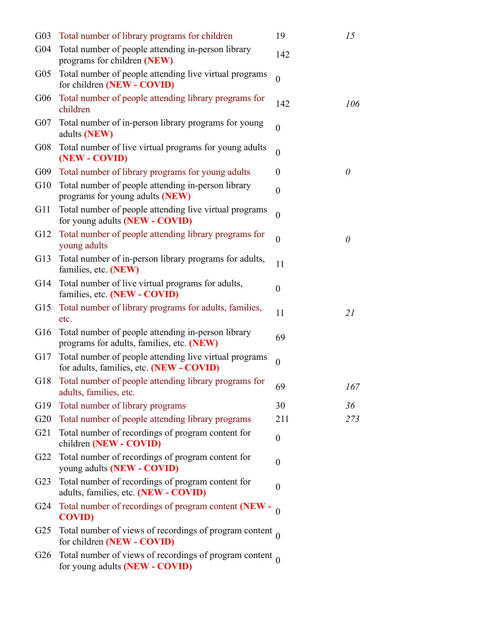| G <sub>03</sub> | Total number of library programs for children                                                      | 19               | 15       |
|-----------------|----------------------------------------------------------------------------------------------------|------------------|----------|
| G <sub>04</sub> | Total number of people attending in-person library<br>programs for children (NEW)                  | 142              |          |
| G <sub>05</sub> | Total number of people attending live virtual programs<br>for children (NEW - COVID)               | $\boldsymbol{0}$ |          |
| G06             | Total number of people attending library programs for<br>children                                  | 142              | 106      |
| $G_{07}$        | Total number of in-person library programs for young<br>adults (NEW)                               | $\boldsymbol{0}$ |          |
| G08             | Total number of live virtual programs for young adults<br>(NEW - COVID)                            | $\boldsymbol{0}$ |          |
| G09             | Total number of library programs for young adults                                                  | $\boldsymbol{0}$ | $\theta$ |
| G10             | Total number of people attending in-person library<br>programs for young adults (NEW)              | $\boldsymbol{0}$ |          |
| G11             | Total number of people attending live virtual programs<br>for young adults (NEW - COVID)           | $\overline{0}$   |          |
| G <sub>12</sub> | Total number of people attending library programs for<br>young adults                              | $\boldsymbol{0}$ | $\theta$ |
| G13             | Total number of in-person library programs for adults,<br>families, etc. (NEW)                     | 11               |          |
| G14             | Total number of live virtual programs for adults,<br>families, etc. (NEW - COVID)                  | $\boldsymbol{0}$ |          |
| G15             | Total number of library programs for adults, families,<br>etc.                                     | 11               | 21       |
| G16             | Total number of people attending in-person library<br>programs for adults, families, etc. (NEW)    | 69               |          |
| G17             | Total number of people attending live virtual programs<br>for adults, families, etc. (NEW - COVID) | $\boldsymbol{0}$ |          |
| G18             | Total number of people attending library programs for<br>adults, families, etc.                    | 69               | 167      |
| G19             | Total number of library programs                                                                   | 30               | 36       |
| G20             | Total number of people attending library programs                                                  | 211              | 273      |
| G21             | Total number of recordings of program content for<br>children (NEW - COVID)                        | $\boldsymbol{0}$ |          |
| G22             | Total number of recordings of program content for<br>young adults (NEW - COVID)                    | $\boldsymbol{0}$ |          |
| G23             | Total number of recordings of program content for<br>adults, families, etc. (NEW - COVID)          | $\boldsymbol{0}$ |          |
| G <sub>24</sub> | Total number of recordings of program content (NEW - $\theta$<br><b>COVID)</b>                     |                  |          |
| G <sub>25</sub> | Total number of views of recordings of program content $_0$<br>for children (NEW - COVID)          |                  |          |
|                 | G26 Total number of views of recordings of program content $_0$<br>for young adults (NEW - COVID)  |                  |          |
|                 |                                                                                                    |                  |          |
|                 |                                                                                                    |                  |          |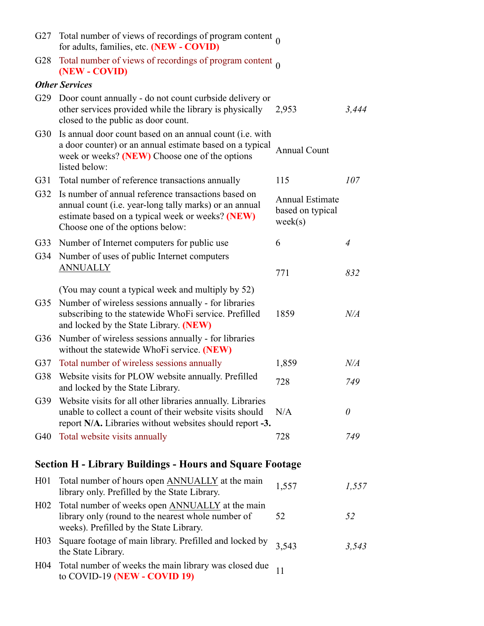| G27<br>G29<br>G30 | Total number of views of recordings of program content $_0$<br>for adults, families, etc. (NEW - COVID)<br>G28 Total number of views of recordings of program content $_0$<br>(NEW - COVID)<br><b>Other Services</b><br>Door count annually - do not count curbside delivery or<br>other services provided while the library is physically |                                                       |           |
|-------------------|--------------------------------------------------------------------------------------------------------------------------------------------------------------------------------------------------------------------------------------------------------------------------------------------------------------------------------------------|-------------------------------------------------------|-----------|
|                   |                                                                                                                                                                                                                                                                                                                                            |                                                       |           |
|                   |                                                                                                                                                                                                                                                                                                                                            |                                                       |           |
|                   |                                                                                                                                                                                                                                                                                                                                            |                                                       |           |
|                   |                                                                                                                                                                                                                                                                                                                                            |                                                       |           |
|                   |                                                                                                                                                                                                                                                                                                                                            |                                                       |           |
|                   |                                                                                                                                                                                                                                                                                                                                            |                                                       |           |
|                   |                                                                                                                                                                                                                                                                                                                                            |                                                       |           |
|                   |                                                                                                                                                                                                                                                                                                                                            |                                                       |           |
|                   |                                                                                                                                                                                                                                                                                                                                            |                                                       |           |
|                   | closed to the public as door count.                                                                                                                                                                                                                                                                                                        | 2,953                                                 | 3,444     |
|                   | Is annual door count based on an annual count (i.e. with<br>a door counter) or an annual estimate based on a typical<br>week or weeks? (NEW) Choose one of the options                                                                                                                                                                     | <b>Annual Count</b>                                   |           |
|                   | listed below:                                                                                                                                                                                                                                                                                                                              |                                                       |           |
| G31               | Total number of reference transactions annually<br>G32 Is number of annual reference transactions based on                                                                                                                                                                                                                                 | 115                                                   | 107       |
|                   | annual count (i.e. year-long tally marks) or an annual<br>estimate based on a typical week or weeks? (NEW)<br>Choose one of the options below:                                                                                                                                                                                             | <b>Annual Estimate</b><br>based on typical<br>week(s) |           |
|                   | G33 Number of Internet computers for public use                                                                                                                                                                                                                                                                                            | 6                                                     | 4         |
|                   | G34 Number of uses of public Internet computers<br><b>ANNUALLY</b>                                                                                                                                                                                                                                                                         | 771                                                   | 832       |
|                   | (You may count a typical week and multiply by 52)                                                                                                                                                                                                                                                                                          |                                                       |           |
| G35               | Number of wireless sessions annually - for libraries                                                                                                                                                                                                                                                                                       |                                                       |           |
|                   | subscribing to the statewide WhoFi service. Prefilled<br>and locked by the State Library. (NEW)                                                                                                                                                                                                                                            | 1859                                                  | $N\!/\!A$ |
|                   | G36 Number of wireless sessions annually - for libraries<br>without the statewide WhoFi service. (NEW)                                                                                                                                                                                                                                     |                                                       |           |
| G37               | Total number of wireless sessions annually                                                                                                                                                                                                                                                                                                 | 1,859                                                 | $N\!/\!A$ |
|                   | G38 Website visits for PLOW website annually. Prefilled<br>and locked by the State Library.                                                                                                                                                                                                                                                | 728                                                   | 749       |
| G39               | Website visits for all other libraries annually. Libraries<br>unable to collect a count of their website visits should<br>report N/A. Libraries without websites should report -3.                                                                                                                                                         | N/A                                                   | 0         |
|                   | G40 Total website visits annually                                                                                                                                                                                                                                                                                                          | 728                                                   | 749       |
|                   | <b>Section H - Library Buildings - Hours and Square Footage</b>                                                                                                                                                                                                                                                                            |                                                       |           |
|                   | H01 Total number of hours open ANNUALLY at the main<br>library only. Prefilled by the State Library.                                                                                                                                                                                                                                       | 1,557                                                 | 1,557     |
| H <sub>02</sub>   | Total number of weeks open ANNUALLY at the main<br>library only (round to the nearest whole number of                                                                                                                                                                                                                                      | 52                                                    | 52        |
|                   | weeks). Prefilled by the State Library.                                                                                                                                                                                                                                                                                                    |                                                       |           |
|                   | H03 Square footage of main library. Prefilled and locked by<br>the State Library.                                                                                                                                                                                                                                                          | 3,543                                                 | 3,543     |
| H04               | Total number of weeks the main library was closed due<br>to COVID-19 (NEW - COVID 19)                                                                                                                                                                                                                                                      | 11                                                    |           |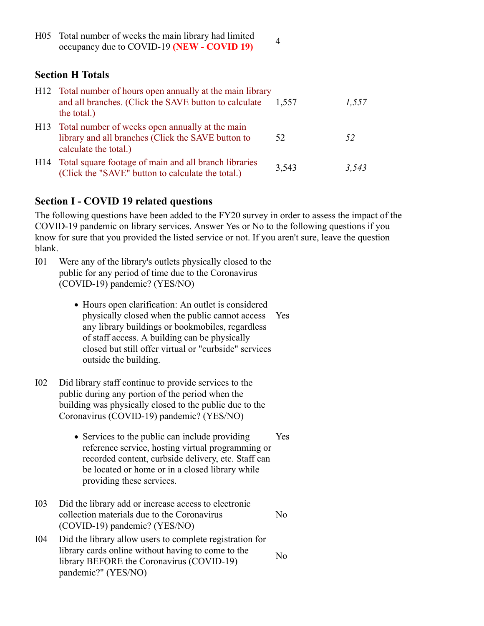| H <sub>05</sub> | Total number of weeks the main library had limited<br>occupancy due to COVID-19 (NEW - COVID 19)          | $\overline{4}$ |  |  |
|-----------------|-----------------------------------------------------------------------------------------------------------|----------------|--|--|
|                 | <b>Section H Totals</b>                                                                                   |                |  |  |
|                 | the contract of the contract of the contract of the contract of the contract of<br>$TT10.77 \times 1.101$ |                |  |  |

## Section H Totals

|                 | <b>Section H Totals</b>                                                                                                                                                                                                                                                                           |       |       |
|-----------------|---------------------------------------------------------------------------------------------------------------------------------------------------------------------------------------------------------------------------------------------------------------------------------------------------|-------|-------|
|                 | H12 Total number of hours open annually at the main library<br>and all branches. (Click the SAVE button to calculate<br>the total.)                                                                                                                                                               | 1,557 | 1,557 |
| H13             | Total number of weeks open annually at the main<br>library and all branches (Click the SAVE button to<br>calculate the total.)                                                                                                                                                                    | 52    | 52    |
|                 | H14 Total square footage of main and all branch libraries<br>(Click the "SAVE" button to calculate the total.)                                                                                                                                                                                    | 3,543 | 3,543 |
|                 | <b>Section I - COVID 19 related questions</b>                                                                                                                                                                                                                                                     |       |       |
| blank.          | The following questions have been added to the FY20 survey in order to assess the impact of the<br>COVID-19 pandemic on library services. Answer Yes or No to the following questions if you<br>know for sure that you provided the listed service or not. If you aren't sure, leave the question |       |       |
| I <sub>01</sub> | Were any of the library's outlets physically closed to the<br>public for any period of time due to the Coronavirus<br>(COVID-19) pandemic? (YES/NO)                                                                                                                                               |       |       |
|                 | • Hours open clarification: An outlet is considered<br>physically alogod when the public connect aggregation                                                                                                                                                                                      |       |       |

## Section I - COVID 19 related questions

The following questions have been added to the FY20 survey in order to assess the impact of the COVID-19 pandemic on library services. Answer Yes or No to the following questions if you know for sure that you provided the listed service or not. If you aren't sure, leave the question blank. **Section I - COVID 19 related questions**<br>
The following questions a have been added to the FY20 survey in order to assess the im<br>
COVID-19 pandemic on library services. Answer Yes or No to the following questions<br>
hank.<br>

- public for any period of time due to the Coronavirus (COVID-19) pandemic? (YES/NO)
- Hours open clarification: An outlet is considered physically closed when the public cannot access any library buildings or bookmobiles, regardless of staff access. A building can be physically closed but still offer virtual or "curbside" services outside the building. Yes <ul>\n<li> Hours open clarification: An outlet is considered physically closed when the public cannot access Yes any library building or bochimobilies, regardless of staff access. A building can be physically closed but still offer virtual or "curbside" services outside the building.</li>\n<li>Did library staff continue to provide services to the public during any portion of the period when the building was physically closed to the public due to the Uornaxirus (COVID-19) padlemic? (YESNO)</li>\n<li> Services to the public can include providing Yes reference service, hosting virtual programming or recorded content, curbside delivery, etc. Staff can be located or home or in a closed library while providing these services.</li>\n<li>Did the library add or increase access to electronic collection materials due to the Coronavirus (COVID-19) pademeic? (YESNO)</li>\n<li>Did the library allow users to complete registration for library cards online without having to come
- public during any portion of the period when the building was physically closed to the public due to the Coronavirus (COVID-19) pandemic? (YES/NO)
- Services to the public can include providing Yes reference service, hosting virtual programming or recorded content, curbside delivery, etc. Staff can be located or home or in a closed library while providing these services. Yes of staff access. A building can be physically<br>closed but still offer virtual or "curbside" services<br>ouside the building.<br>I02<br>Did library staff continue to provide services to the<br>public during any portion of the period whe
- collection materials due to the Coronavirus (COVID-19) pandemic? (YES/NO) No contract the contract of the contract of the contract of the contract of the contract of the contract of the contract of the contract of the contract of the contract of the contract of the contract of the contract of th
- library cards online without having to come to the library BEFORE the Coronavirus (COVID-19) pandemic?" (YES/NO) No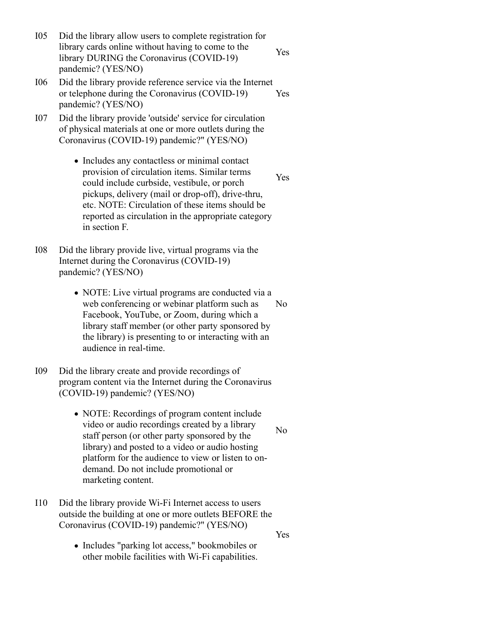- I05 Did the library allow users to complete registration for<br>
library cards online without having to come to the<br>
library DURING the Coronavirus (COVID-19)<br>
pandemic? (YES/NO)<br>
I06 Did the library provide reference service library cards online without having to come to the library DURING the Coronavirus (COVID-19) pandemic? (YES/NO) Yes I05 Did the library allow users to complete registration for<br>
library cards online without having to come to the<br>
library DURING the Coronavirus (COVID-19)<br>
pandemic? (YES/NO)<br>
I06 Did the library provide reference service I05 Did the library allow users to complete registration for<br>
library cards online without having to come to the<br>
library DURING the Coronavirus (COVID-19)<br>
pandemic? (YES/NO)<br>
I06 Did the library provide reference service
- or telephone during the Coronavirus (COVID-19) pandemic? (YES/NO) Yes
- of physical materials at one or more outlets during the Coronavirus (COVID-19) pandemic?" (YES/NO)
- Includes any contactless or minimal contact provision of circulation items. Similar terms could include curbside, vestibule, or porch pickups, delivery (mail or drop-off), drive-thru, etc. NOTE: Circulation of these items should be reported as circulation in the appropriate category in section F. Yes Ibrary cards online without having to come to the<br>
Ibrary DURING the Coronavirus (COVID-19)<br>
206 Did the library provide reference service via the Internet<br>
or telephone during the Coronavirus (COVID-19)<br>
yeas<br>
2010 Did t
- Internet during the Coronavirus (COVID-19) pandemic? (YES/NO)
- NOTE: Live virtual programs are conducted via a web conferencing or webinar platform such as No Facebook, YouTube, or Zoom, during which a library staff member (or other party sponsored by the library) is presenting to or interacting with an audience in real-time. No contract the contract of the contract of the contract of the contract of the contract of the contract of the contract of the contract of the contract of the contract of the contract of the contract of the contract of th provision of circulation items. Similar terms<br>
could include curbside, vestibule, or porch<br>
pickups, delivery (mail or drop-off), drive-thru,<br>
etc. NOTE: Circulation of these items should be<br>
reported as circulation in the
- program content via the Internet during the Coronavirus (COVID-19) pandemic? (YES/NO)
- NOTE: Recordings of program content include video or audio recordings created by a library No staff person (or other party sponsored by the library) and posted to a video or audio hosting platform for the audience to view or listen to ondemand. Do not include promotional or marketing content. web conferencing or webinar platform such as<br>
Facebook, YouTube, or Zoom, during which a<br>
library staff member (or other party sponsored by<br>
the library) is presenting to or interacting with an<br>
audience in real-time.<br>
I09
- outside the building at one or more outlets BEFORE the Coronavirus (COVID-19) pandemic?" (YES/NO)
	- Includes "parking lot access," bookmobiles or other mobile facilities with Wi-Fi capabilities.

No service that the service of  $\mathcal{N}$  and  $\mathcal{N}$  are the series of  $\mathcal{N}$  and  $\mathcal{N}$  are the series of  $\mathcal{N}$  and  $\mathcal{N}$  are the series of  $\mathcal{N}$  and  $\mathcal{N}$  are the series of  $\mathcal{N}$  and  $\mathcal{N}$  are the s

Yes